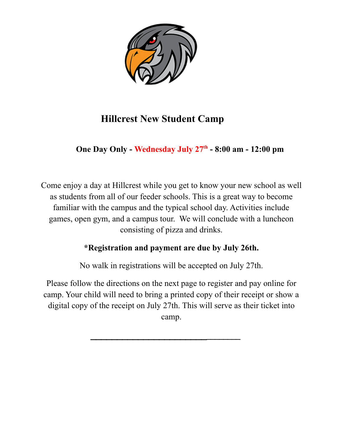

# **Hillcrest New Student Camp**

## **One Day Only - Wednesday July 27th - 8:00 am - 12:00 pm**

Come enjoy a day at Hillcrest while you get to know your new school as well as students from all of our feeder schools. This is a great way to become familiar with the campus and the typical school day. Activities include games, open gym, and a campus tour. We will conclude with a luncheon consisting of pizza and drinks.

### **\*Registration and payment are due by July 26th.**

No walk in registrations will be accepted on July 27th.

Please follow the directions on the next page to register and pay online for camp. Your child will need to bring a printed copy of their receipt or show a digital copy of the receipt on July 27th. This will serve as their ticket into camp.

**\_\_\_\_\_\_\_\_\_\_\_\_\_\_\_\_\_\_\_\_\_\_\_\_\_\_\_\_\_\_**